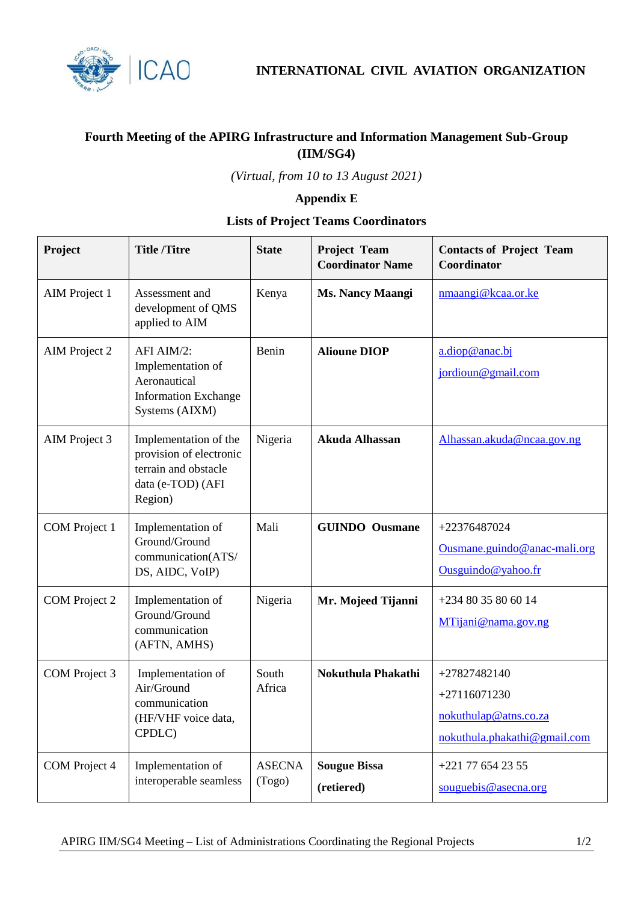

**INTERNATIONAL CIVIL AVIATION ORGANIZATION**

## **Fourth Meeting of the APIRG Infrastructure and Information Management Sub-Group (IIM/SG4)**

*(Virtual, from 10 to 13 August 2021)*

## **Appendix E**

## **Lists of Project Teams Coordinators**

| Project              | <b>Title /Titre</b>                                                                                      | <b>State</b>            | Project Team<br><b>Coordinator Name</b> | <b>Contacts of Project Team</b><br>Coordinator                                          |
|----------------------|----------------------------------------------------------------------------------------------------------|-------------------------|-----------------------------------------|-----------------------------------------------------------------------------------------|
| AIM Project 1        | Assessment and<br>development of QMS<br>applied to AIM                                                   | Kenya                   | <b>Ms. Nancy Maangi</b>                 | nmaangi@kcaa.or.ke                                                                      |
| <b>AIM</b> Project 2 | AFI AIM/2:<br>Implementation of<br>Aeronautical<br><b>Information Exchange</b><br>Systems (AIXM)         | Benin                   | <b>Alioune DIOP</b>                     | a.diop@anac.bj<br>jordioun@gmail.com                                                    |
| AIM Project 3        | Implementation of the<br>provision of electronic<br>terrain and obstacle<br>data (e-TOD) (AFI<br>Region) | Nigeria                 | Akuda Alhassan                          | Alhassan.akuda@ncaa.gov.ng                                                              |
| COM Project 1        | Implementation of<br>Ground/Ground<br>communication(ATS/<br>DS, AIDC, VoIP)                              | Mali                    | <b>GUINDO</b> Ousmane                   | +22376487024<br>Ousmane.guindo@anac-mali.org<br>Ousquindo@yahoo.fr                      |
| COM Project 2        | Implementation of<br>Ground/Ground<br>communication<br>(AFTN, AMHS)                                      | Nigeria                 | Mr. Mojeed Tijanni                      | +234 80 35 80 60 14<br>MTijani@nama.gov.ng                                              |
| COM Project 3        | Implementation of<br>Air/Ground<br>communication<br>(HF/VHF voice data,<br>CPDLC)                        | South<br>Africa         | Nokuthula Phakathi                      | +27827482140<br>$+27116071230$<br>nokuthulap@atns.co.za<br>nokuthula.phakathi@gmail.com |
| COM Project 4        | Implementation of<br>interoperable seamless                                                              | <b>ASECNA</b><br>(Togo) | <b>Sougue Bissa</b><br>(retiered)       | +221 77 654 23 55<br>souguebis@asecna.org                                               |